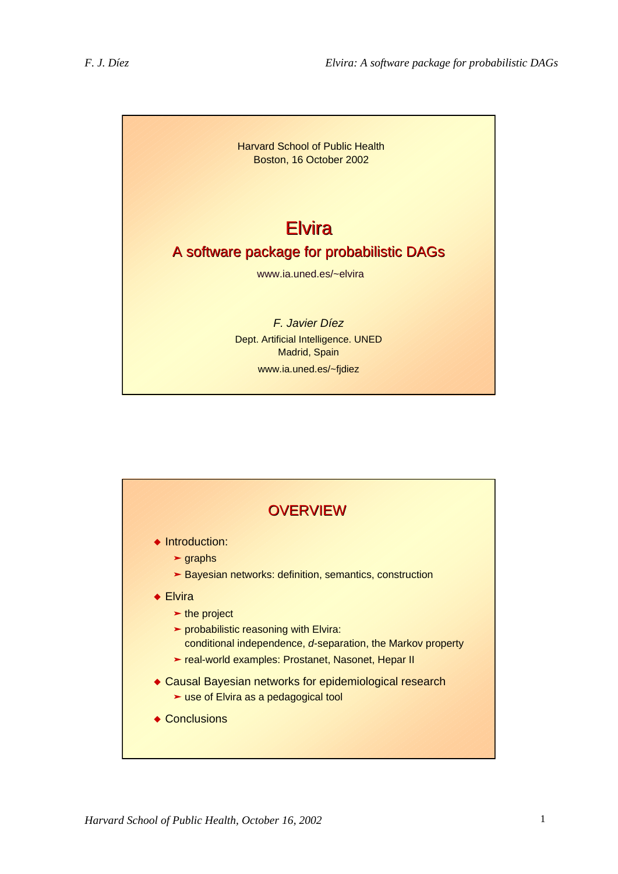

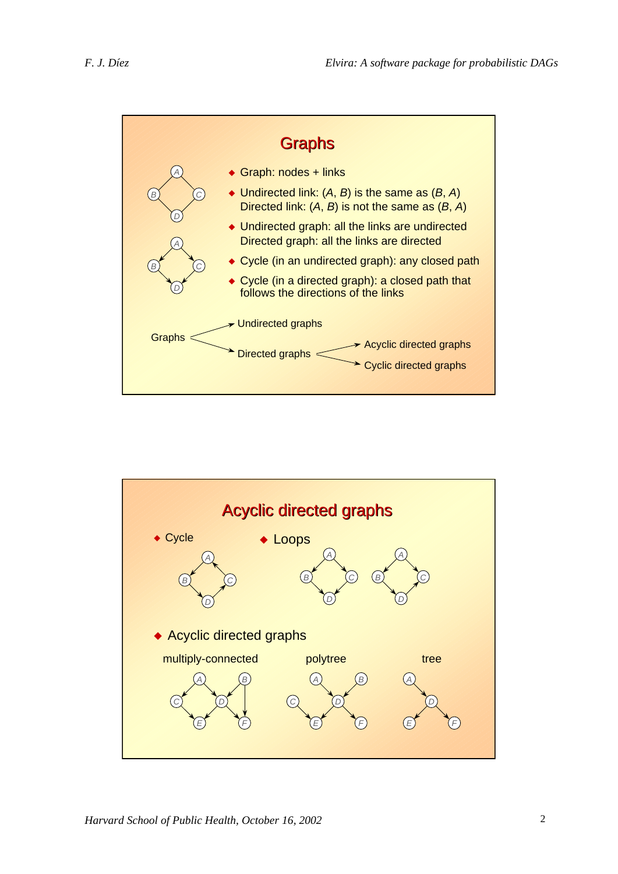

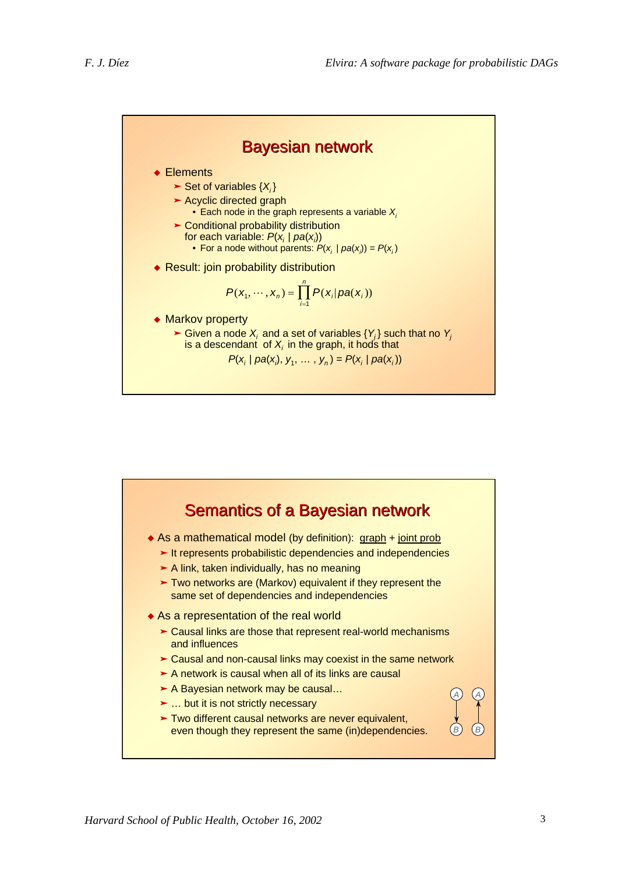

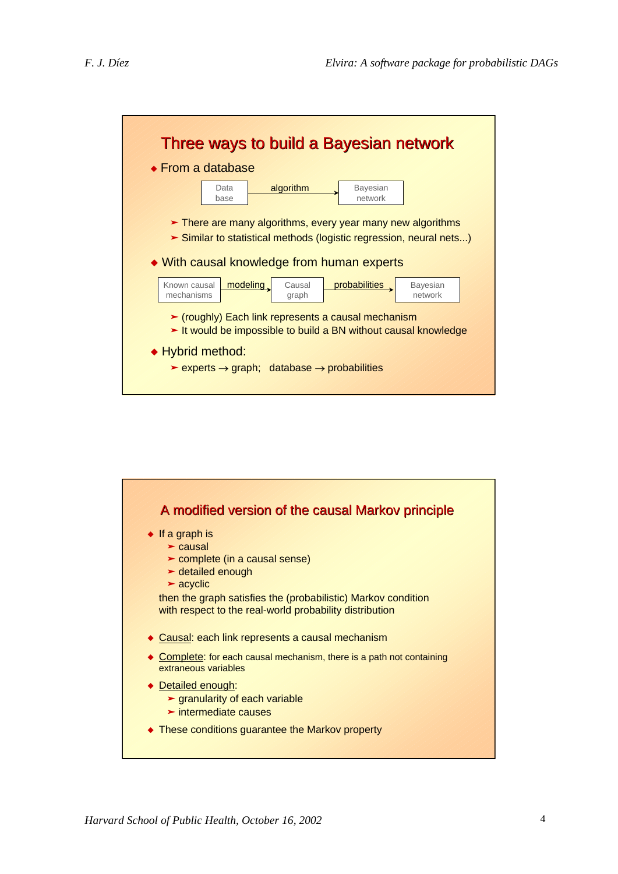

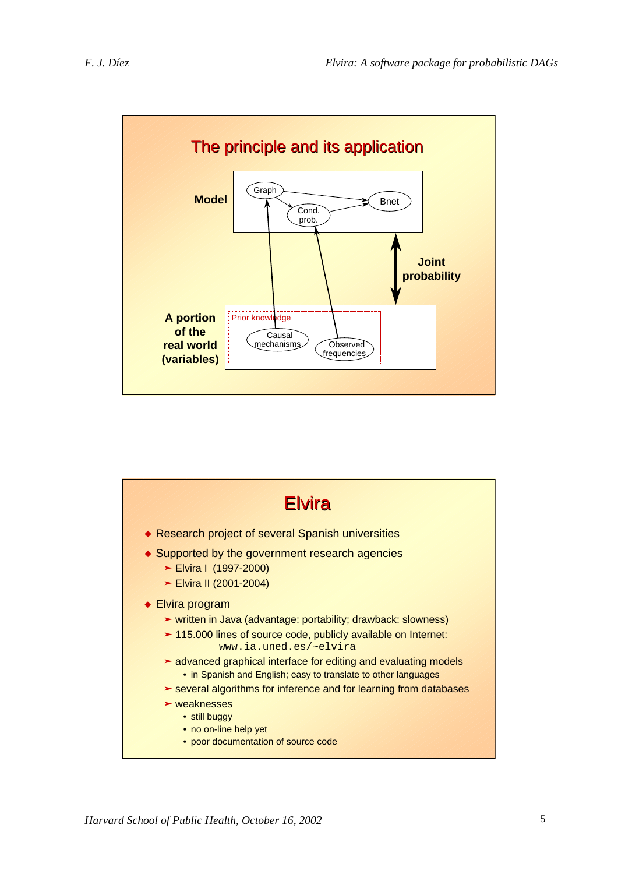

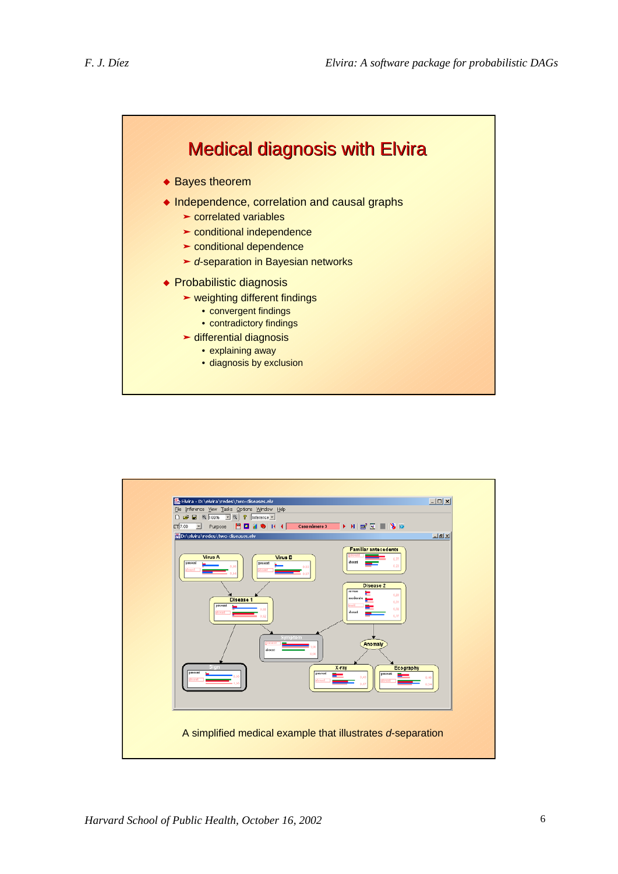

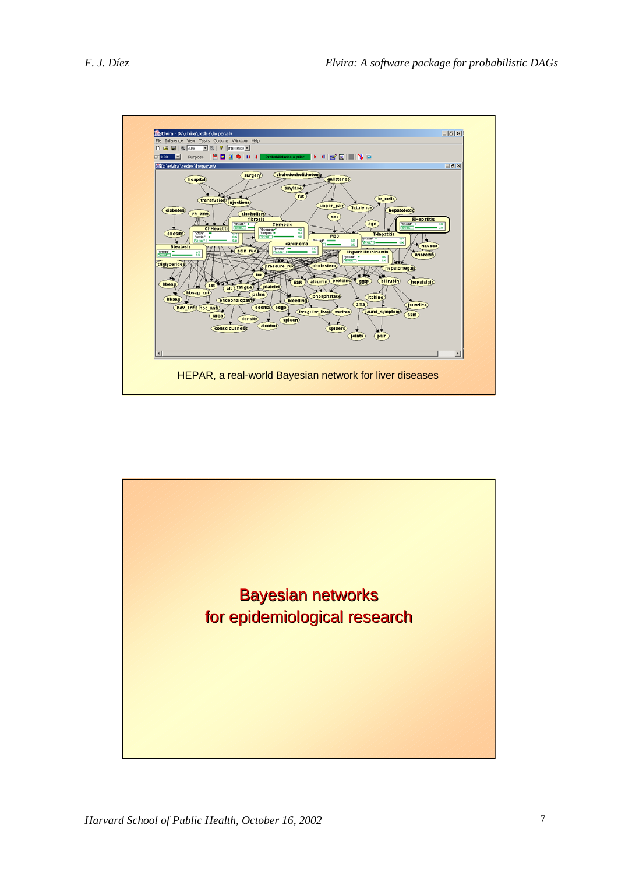